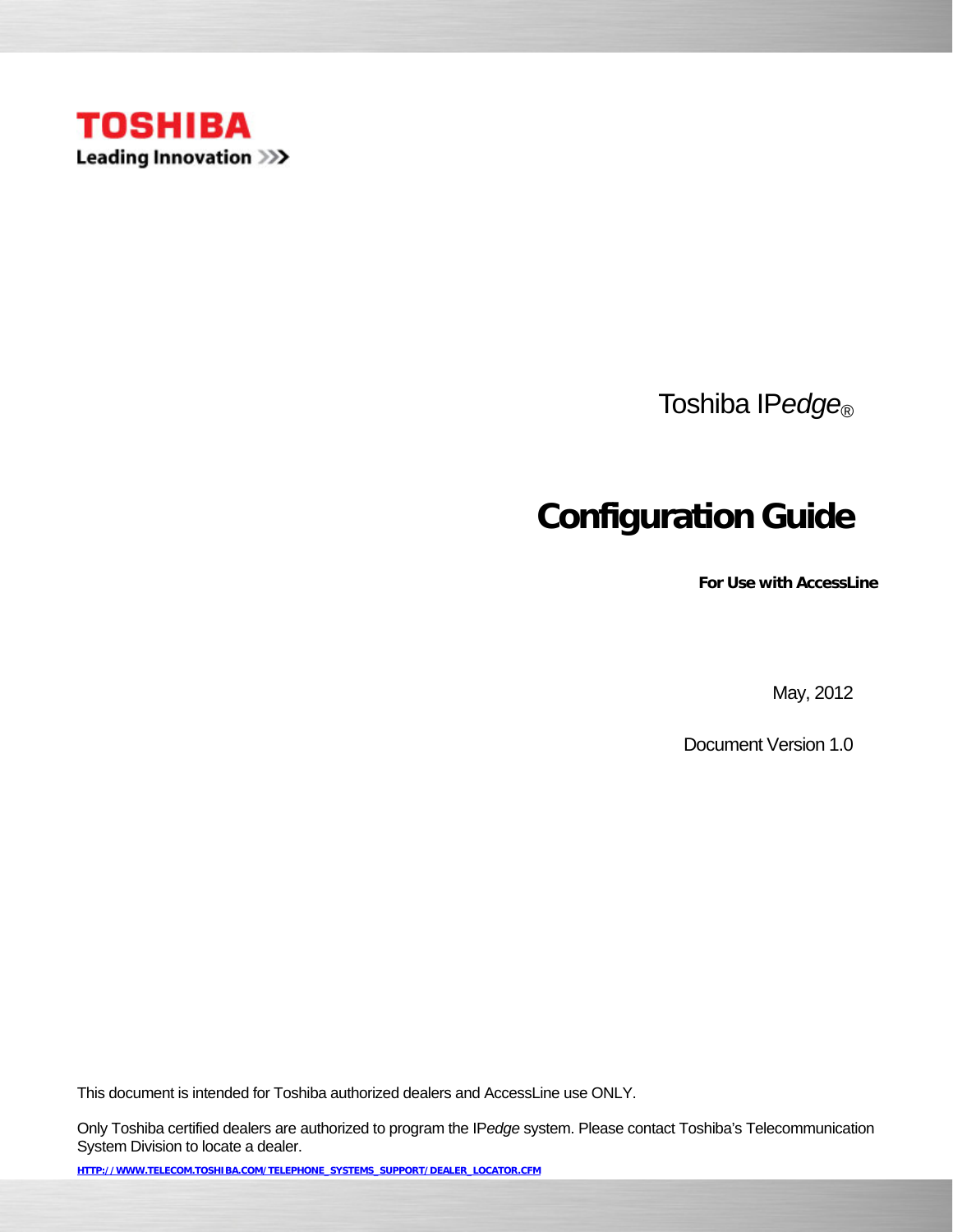

Toshiba IP*edge*®

# **Configuration Guide**

**For Use with AccessLine** 

May, 2012

Document Version 1.0

This document is intended for Toshiba authorized dealers and AccessLine use ONLY.

Only Toshiba certified dealers are authorized to program the IP*edge* system. Please contact Toshiba's Telecommunication System Division to locate a dealer.

**HTTP://WWW.TELECOM.TOSHIBA.COM/TELEPHONE\_SYSTEMS\_SUPPORT/DEALER\_LOCATOR.CFM**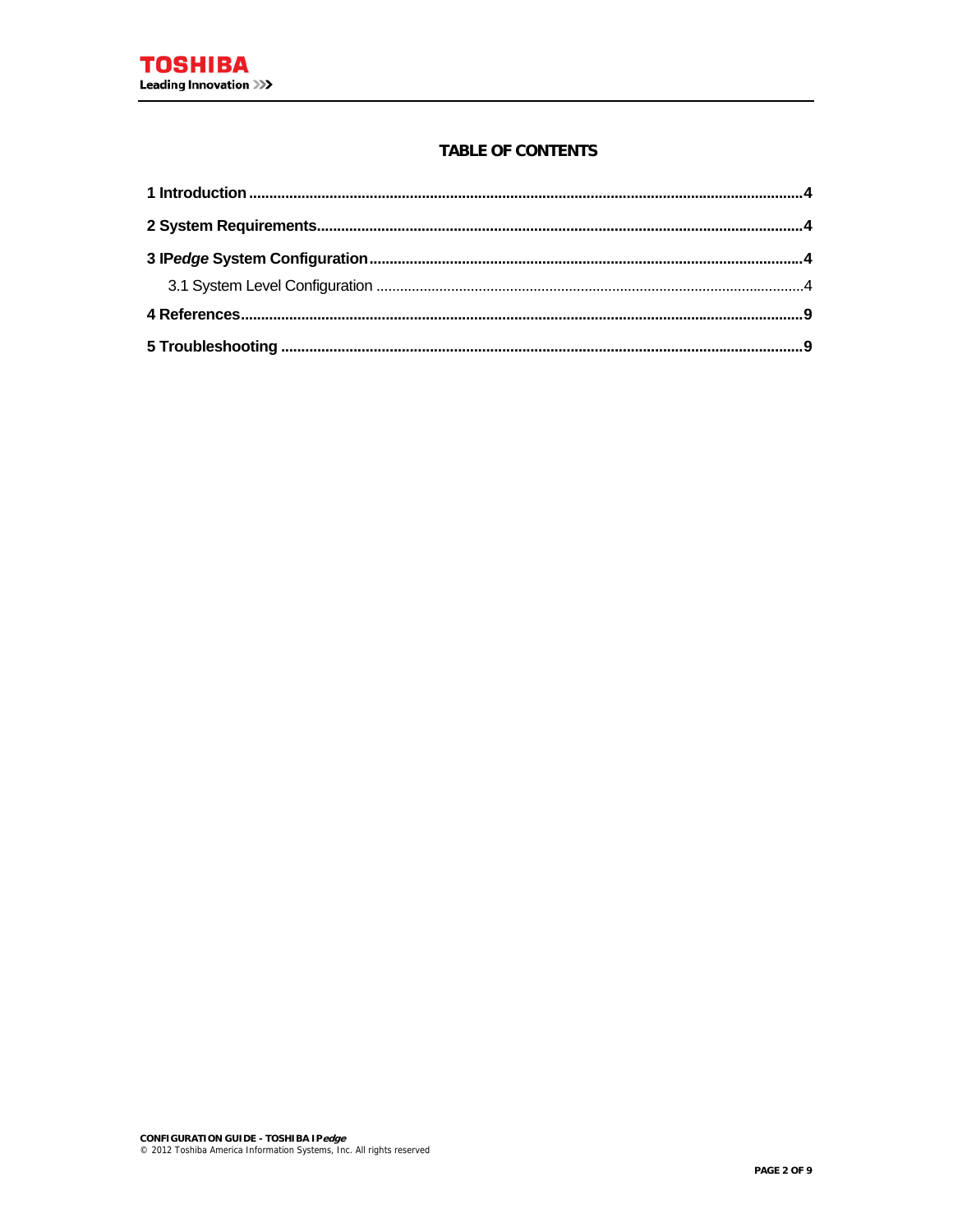### **TABLE OF CONTENTS**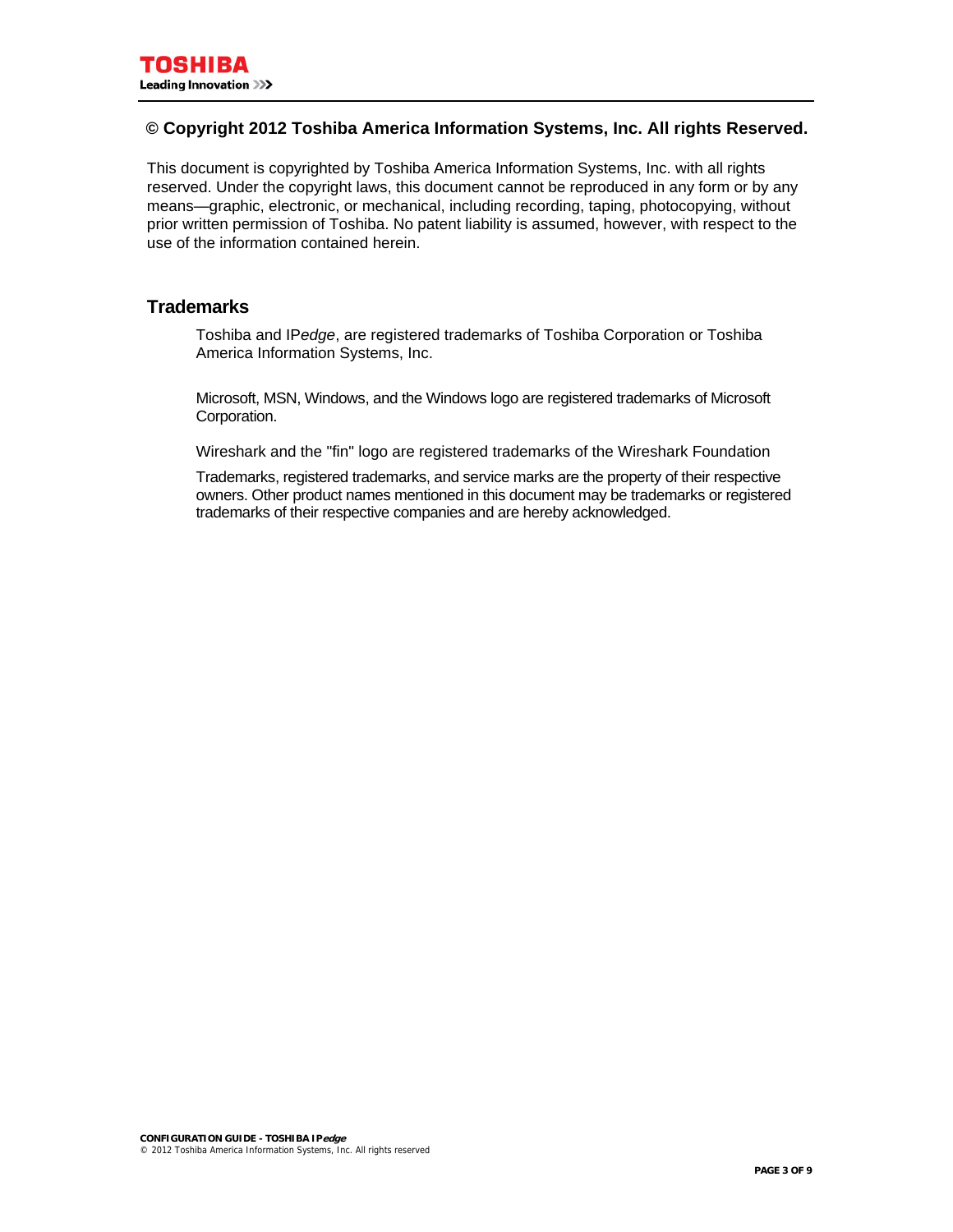### **© Copyright 2012 Toshiba America Information Systems, Inc. All rights Reserved.**

This document is copyrighted by Toshiba America Information Systems, Inc. with all rights reserved. Under the copyright laws, this document cannot be reproduced in any form or by any means—graphic, electronic, or mechanical, including recording, taping, photocopying, without prior written permission of Toshiba. No patent liability is assumed, however, with respect to the use of the information contained herein.

### **Trademarks**

Toshiba and IP*edge*, are registered trademarks of Toshiba Corporation or Toshiba America Information Systems, Inc.

Microsoft, MSN, Windows, and the Windows logo are registered trademarks of Microsoft Corporation.

Wireshark and the "fin" logo are registered trademarks of the Wireshark Foundation

Trademarks, registered trademarks, and service marks are the property of their respective owners. Other product names mentioned in this document may be trademarks or registered trademarks of their respective companies and are hereby acknowledged.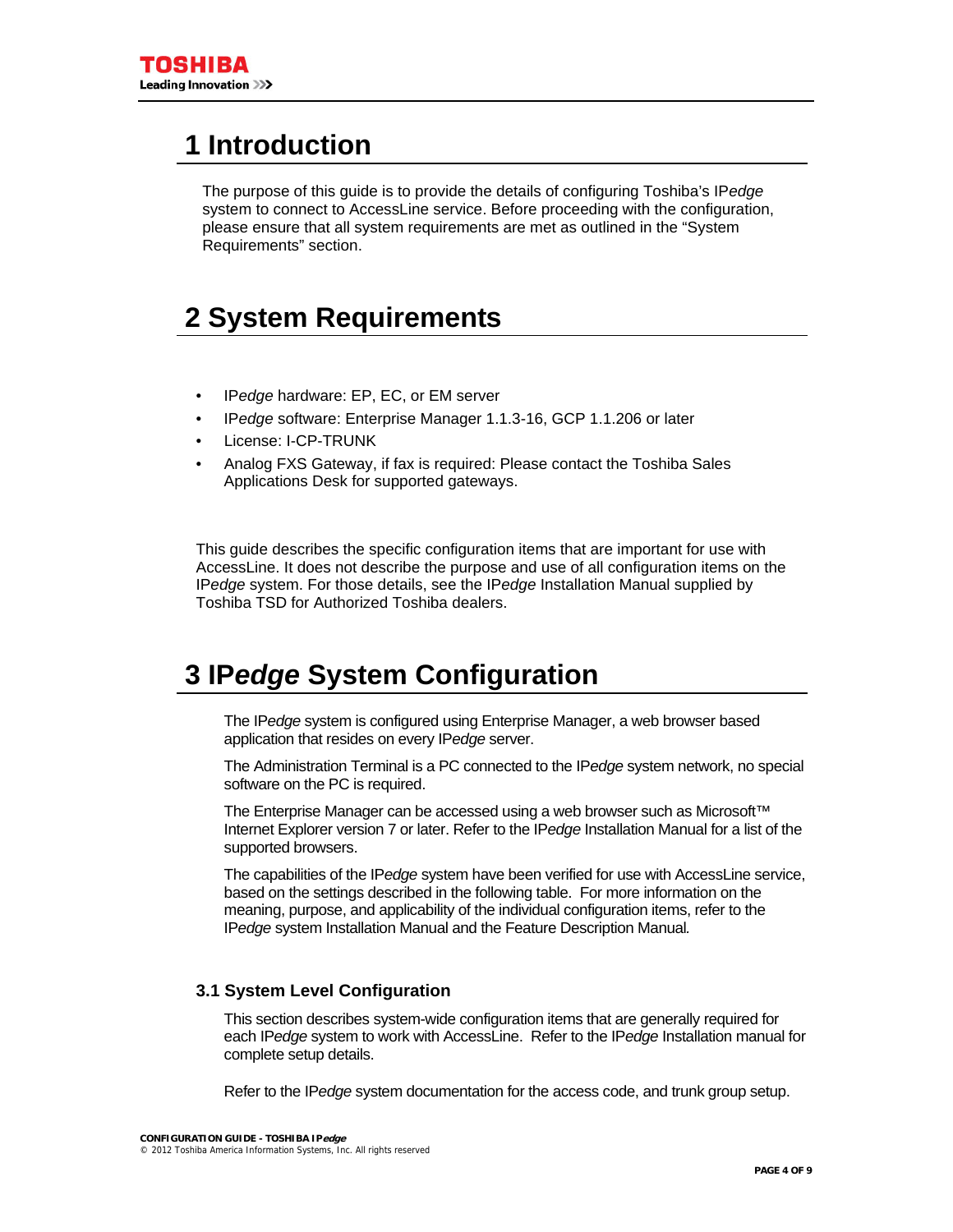# <span id="page-3-0"></span>**1 Introduction**

The purpose of this guide is to provide the details of configuring Toshiba's IP*edge* system to connect to AccessLine service. Before proceeding with the configuration, please ensure that all system requirements are met as outlined in the "System Requirements" section.

# <span id="page-3-1"></span>**2 System Requirements**

- IP*edge* hardware: EP, EC, or EM server
- IP*edge* software: Enterprise Manager 1.1.3-16, GCP 1.1.206 or later
- License: I-CP-TRUNK
- Analog FXS Gateway, if fax is required: Please contact the Toshiba Sales Applications Desk for supported gateways.

This guide describes the specific configuration items that are important for use with AccessLine. It does not describe the purpose and use of all configuration items on the IP*edge* system. For those details, see the IP*edge* Installation Manual supplied by Toshiba TSD for Authorized Toshiba dealers.

# <span id="page-3-2"></span>**3 IP***edge* **System Configuration**

The IP*edge* system is configured using Enterprise Manager, a web browser based application that resides on every IP*edge* server.

The Administration Terminal is a PC connected to the IP*edge* system network, no special software on the PC is required.

The Enterprise Manager can be accessed using a web browser such as Microsoft™ Internet Explorer version 7 or later. Refer to the IP*edge* Installation Manual for a list of the supported browsers.

The capabilities of the IP*edge* system have been verified for use with AccessLine service, based on the settings described in the following table. For more information on the meaning, purpose, and applicability of the individual configuration items, refer to the IP*edge* system Installation Manual and the Feature Description Manual*.*

### <span id="page-3-3"></span>**3.1 System Level Configuration**

This section describes system-wide configuration items that are generally required for each IP*edge* system to work with AccessLine. Refer to the IP*edge* Installation manual for complete setup details.

Refer to the IP*edge* system documentation for the access code, and trunk group setup.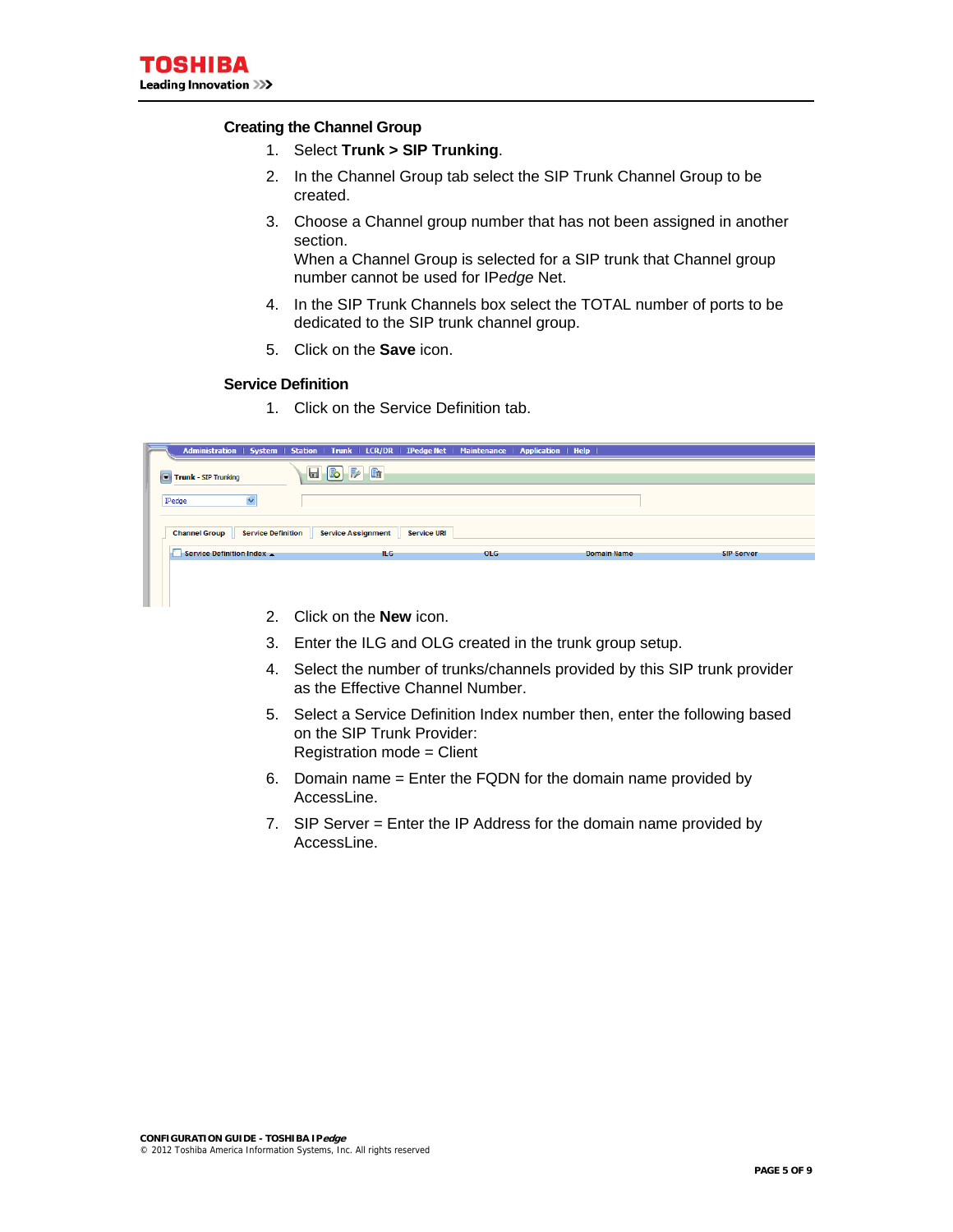#### **Creating the Channel Group**

- 1. Select **Trunk > SIP Trunking**.
- 2. In the Channel Group tab select the SIP Trunk Channel Group to be created.
- 3. Choose a Channel group number that has not been assigned in another section.

When a Channel Group is selected for a SIP trunk that Channel group number cannot be used for IP*edge* Net.

- 4. In the SIP Trunk Channels box select the TOTAL number of ports to be dedicated to the SIP trunk channel group.
- 5. Click on the **Save** icon.

#### **Service Definition**

1. Click on the Service Definition tab.

|                |                          |                    | Administration   System   Station   Trunk   LCR/DR   IPedge Net   Maintenance   Application   Help |            |                    |                   |
|----------------|--------------------------|--------------------|----------------------------------------------------------------------------------------------------|------------|--------------------|-------------------|
| $\blacksquare$ | Trunk - SIP Trunking     |                    | $\blacksquare$ $\blacksquare$ $\blacksquare$                                                       |            |                    |                   |
|                | IPedge                   |                    |                                                                                                    |            |                    |                   |
|                | <b>Channel Group</b>     | Service Definition | Service Assignment   Service URI                                                                   |            |                    |                   |
|                | Service Definition Index |                    | ILG.                                                                                               | <b>OLG</b> | <b>Domain Name</b> | <b>SIP Server</b> |
|                |                          |                    |                                                                                                    |            |                    |                   |

- 2. Click on the **New** icon.
- 3. Enter the ILG and OLG created in the trunk group setup.
- 4. Select the number of trunks/channels provided by this SIP trunk provider as the Effective Channel Number.
- 5. Select a Service Definition Index number then, enter the following based on the SIP Trunk Provider: Registration mode = Client
- 6. Domain name = Enter the FQDN for the domain name provided by AccessLine.
- 7. SIP Server = Enter the IP Address for the domain name provided by AccessLine.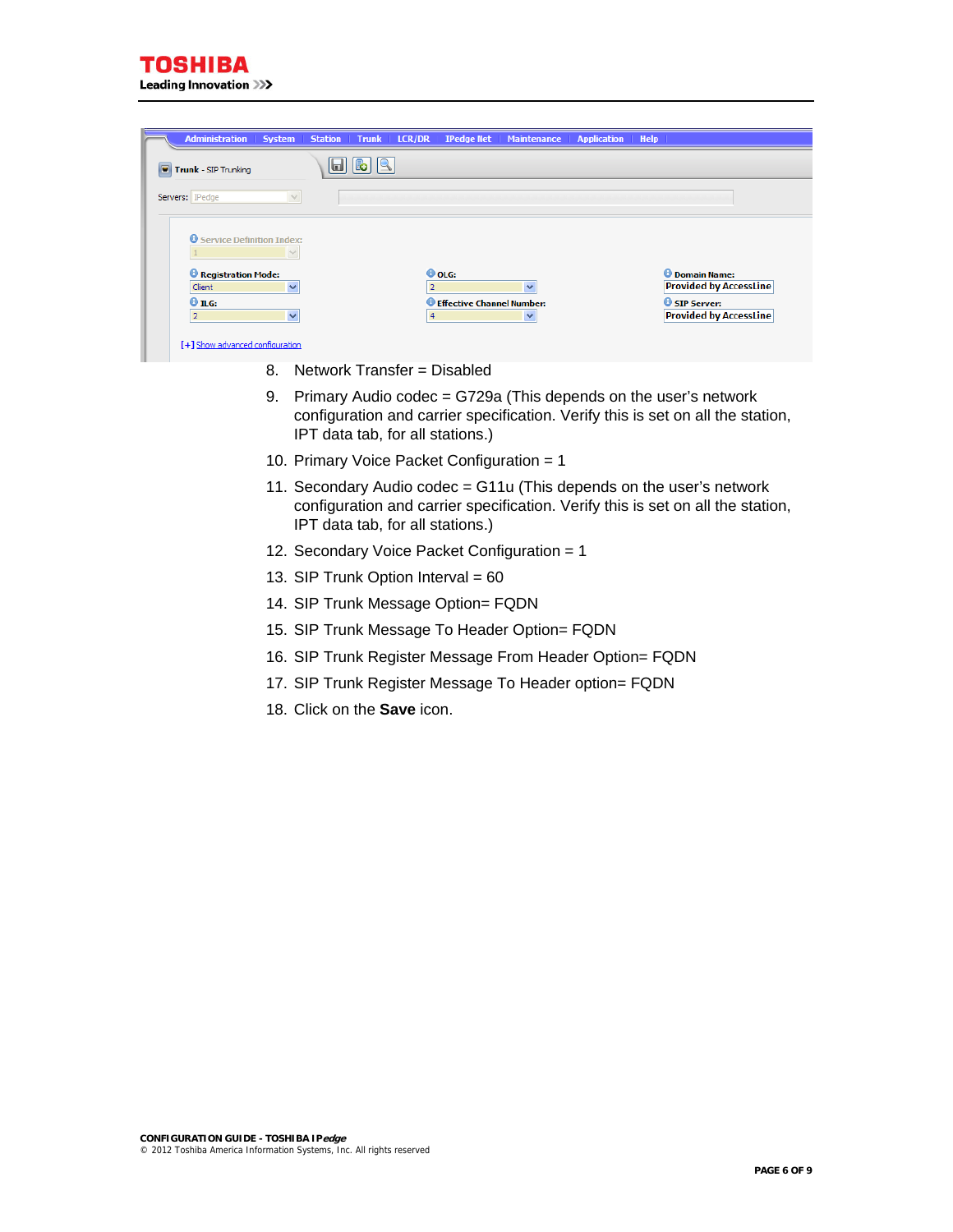| <b>Administration System</b>                 |      | Station   Trunk   LCR/DR   IPedge Net   Maintenance   Application   Help |                                                        |
|----------------------------------------------|------|--------------------------------------------------------------------------|--------------------------------------------------------|
| Trunk - SIP Trunking                         | اها، |                                                                          |                                                        |
| Servers:   IPedge                            |      |                                                                          |                                                        |
| <b>O</b> Service Definition Index:<br>$\vee$ |      |                                                                          |                                                        |
| Registration Mode:<br>Client<br>$\checkmark$ |      | <b>O</b> OLG:<br>$\overline{2}$<br>$\checkmark$                          | <b>O</b> Domain Name:<br><b>Provided by AccessLine</b> |
| $Q$ ILG:<br>$\checkmark$<br>$\overline{2}$   |      | <b>O</b> Effective Channel Number:<br>4<br>$\checkmark$                  | <b>O</b> SIP Server:<br><b>Provided by AccessLine</b>  |
| [+] Show advanced configuration              |      |                                                                          |                                                        |

- 8. Network Transfer = Disabled
- 9. Primary Audio codec = G729a (This depends on the user's network configuration and carrier specification. Verify this is set on all the station, IPT data tab, for all stations.)
- 10. Primary Voice Packet Configuration = 1
- 11. Secondary Audio codec = G11u (This depends on the user's network configuration and carrier specification. Verify this is set on all the station, IPT data tab, for all stations.)
- 12. Secondary Voice Packet Configuration = 1
- 13. SIP Trunk Option Interval = 60
- 14. SIP Trunk Message Option= FQDN
- 15. SIP Trunk Message To Header Option= FQDN
- 16. SIP Trunk Register Message From Header Option= FQDN
- 17. SIP Trunk Register Message To Header option= FQDN
- 18. Click on the **Save** icon.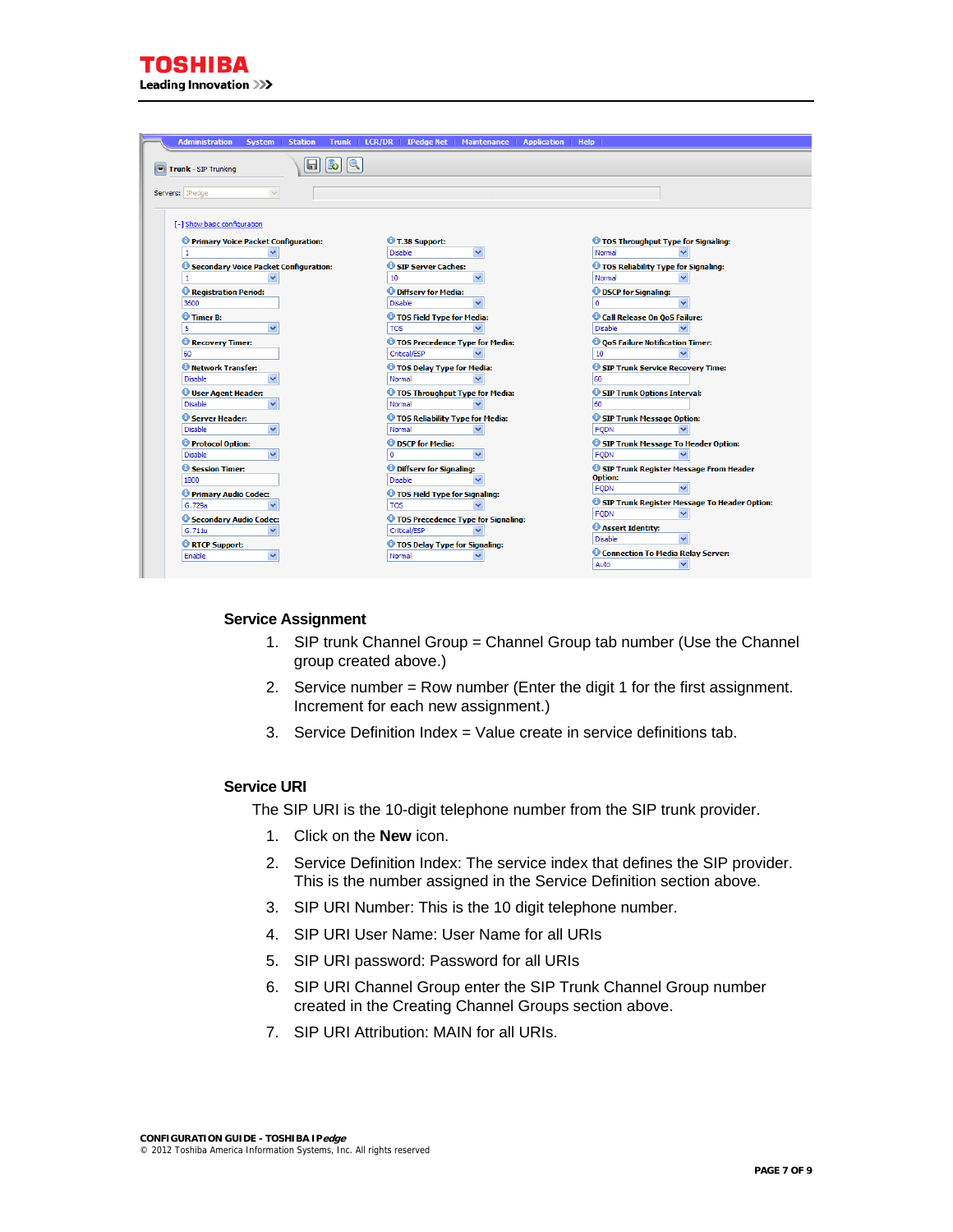| <b>Administration   System  </b>             |              | Station   Trunk   LCR/DR   IPedge Net   Maintenance |                                                    |                                             | <b>Application</b> | <b>Help</b>                                         |                                              |
|----------------------------------------------|--------------|-----------------------------------------------------|----------------------------------------------------|---------------------------------------------|--------------------|-----------------------------------------------------|----------------------------------------------|
| Trunk - SIP Trunking                         | 6            | b                                                   |                                                    |                                             |                    |                                                     |                                              |
|                                              |              |                                                     |                                                    |                                             |                    |                                                     |                                              |
| Servers: Pedge                               | $\vee$       |                                                     |                                                    |                                             |                    |                                                     |                                              |
|                                              |              |                                                     |                                                    |                                             |                    |                                                     |                                              |
| [-] Show basic configuration                 |              |                                                     |                                                    |                                             |                    |                                                     |                                              |
| <b>O</b> Primary Voice Packet Configuration: |              |                                                     | T.38 Support:                                      |                                             |                    | <b>O</b> TOS Throughput Type for Signaling:         |                                              |
| 1                                            |              |                                                     | <b>Disable</b>                                     | $\checkmark$                                |                    | Normal                                              |                                              |
| Secondary Voice Packet Configuration:        |              |                                                     | SIP Server Caches:                                 |                                             |                    | <i><b>O</b></i> TOS Reliability Type for Signaling: |                                              |
| 1                                            |              | 10                                                  |                                                    |                                             |                    | Normal                                              |                                              |
| Registration Period:                         |              |                                                     | <b>O</b> Diffsery for Media:                       |                                             |                    | <b>OD</b> DSCP for Signaling:                       |                                              |
| 3600                                         |              |                                                     | <b>Disable</b>                                     |                                             |                    | n                                                   |                                              |
| <b>O</b> Timer B:                            |              |                                                     | TOS Field Type for Media:                          |                                             |                    | Call Release On QoS Failure:                        |                                              |
| $\overline{5}$                               |              | <b>TOS</b>                                          |                                                    |                                             |                    | <b>Disable</b>                                      |                                              |
| Recovery Timer:                              |              |                                                     |                                                    | <sup>1</sup> TOS Precedence Type for Media: |                    | <b>O QoS Failure Notification Timer:</b>            |                                              |
| 60                                           |              |                                                     | Critical/ESP                                       |                                             |                    | 10                                                  |                                              |
| <b>O</b> Network Transfer:                   |              |                                                     | TOS Delay Type for Media:                          |                                             |                    | SIP Trunk Service Recovery Time:                    |                                              |
| Disable                                      |              |                                                     | Normal                                             |                                             |                    | 60                                                  |                                              |
| User Agent Header:                           |              |                                                     |                                                    | <b>O</b> TOS Throughput Type for Media:     |                    | SIP Trunk Options Interval:                         |                                              |
| <b>Disable</b>                               |              |                                                     | Normal                                             |                                             |                    | 60                                                  |                                              |
| G Server Header:                             | $\checkmark$ |                                                     | TOS Reliability Type for Media:                    |                                             |                    | SIP Trunk Message Option:                           |                                              |
| <b>Disable</b>                               |              |                                                     | Normal                                             |                                             |                    | <b>FODN</b>                                         |                                              |
| <b>O</b> Protocol Option:<br>Disable         |              |                                                     | <b>O</b> DSCP for Media:                           |                                             |                    | <b>FODN</b>                                         | SIP Trunk Message To Header Option:          |
| Session Timer:                               |              |                                                     |                                                    |                                             |                    |                                                     |                                              |
| 1800                                         |              |                                                     | <b>O</b> Diffserv for Signaling:<br><b>Disable</b> |                                             |                    | <b>Option:</b>                                      | SIP Trunk Register Message From Header       |
| Primary Audio Codec:                         |              |                                                     | <i><b>O</b></i> TOS Field Type for Signaling:      |                                             |                    | <b>FODN</b>                                         |                                              |
| G.729a                                       |              | <b>TOS</b>                                          |                                                    |                                             |                    |                                                     | SIP Trunk Register Message To Header Option: |
| Secondary Audio Codec:                       |              |                                                     |                                                    | <b>O</b> TOS Precedence Type for Signaling: |                    | <b>FODN</b>                                         |                                              |
| G.711u                                       |              |                                                     | Critical/ESP                                       |                                             |                    | Assert Identity:                                    |                                              |
| <b>C</b> RTCP Support:                       |              |                                                     | C TOS Delay Type for Signaling:                    |                                             |                    | <b>Disable</b>                                      |                                              |
| Enable                                       |              |                                                     | Normal                                             |                                             |                    | Connection To Media Relay Server:                   |                                              |
|                                              |              |                                                     |                                                    |                                             |                    | Auto                                                |                                              |

#### **Service Assignment**

- 1. SIP trunk Channel Group = Channel Group tab number (Use the Channel group created above.)
- 2. Service number = Row number (Enter the digit 1 for the first assignment. Increment for each new assignment.)
- 3. Service Definition Index = Value create in service definitions tab.

#### **Service URI**

The SIP URI is the 10-digit telephone number from the SIP trunk provider.

- 1. Click on the **New** icon.
- 2. Service Definition Index: The service index that defines the SIP provider. This is the number assigned in the Service Definition section above.
- 3. SIP URI Number: This is the 10 digit telephone number.
- 4. SIP URI User Name: User Name for all URIs
- 5. SIP URI password: Password for all URIs
- 6. SIP URI Channel Group enter the SIP Trunk Channel Group number created in the Creating Channel Groups section above.
- 7. SIP URI Attribution: MAIN for all URIs.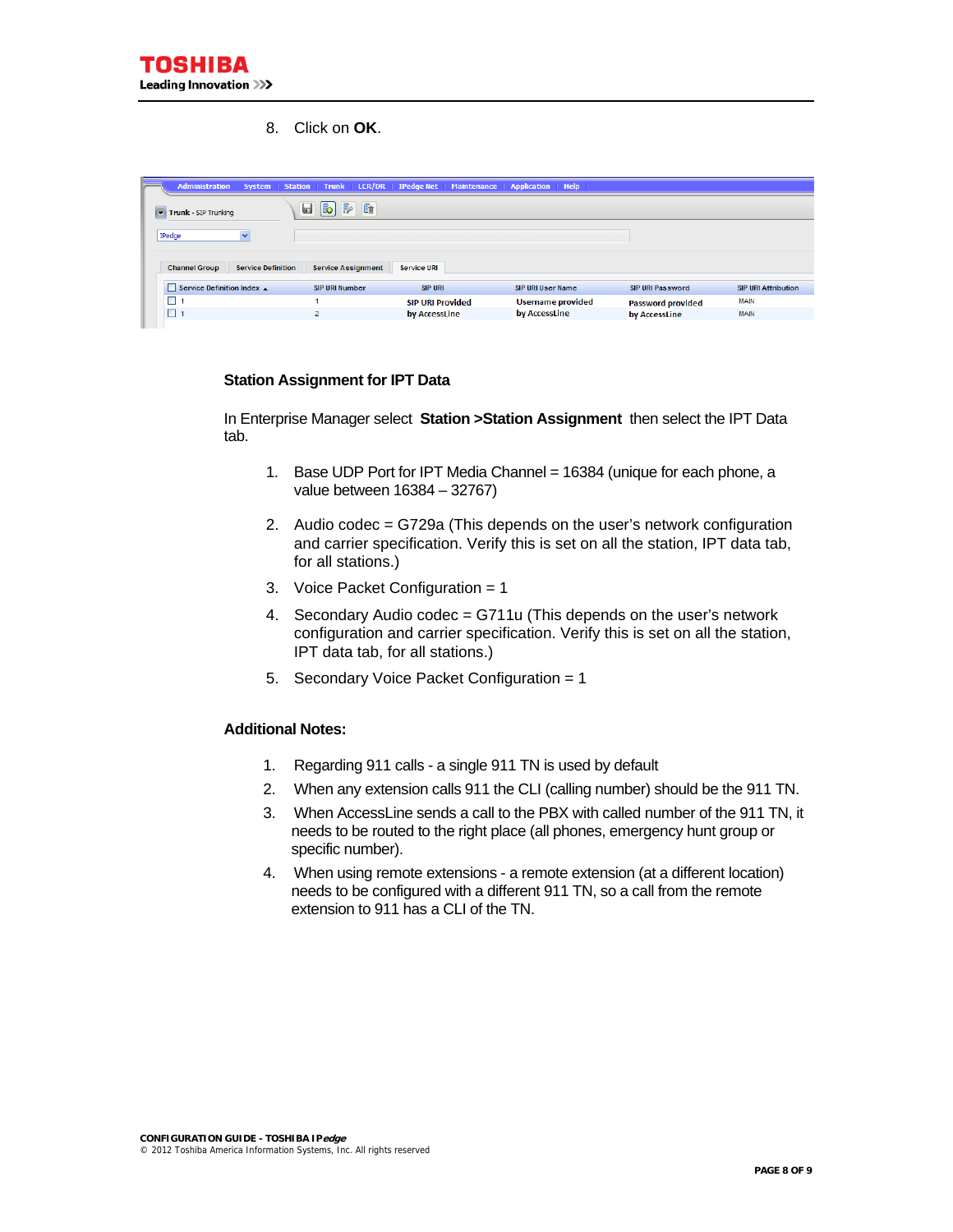8. Click on **OK**.

|                          |                           |                                                                   |                         | Administration System Station Trunk LCR/DR   IPedge Net   Maintenance   Application   Help |                          |                            |
|--------------------------|---------------------------|-------------------------------------------------------------------|-------------------------|--------------------------------------------------------------------------------------------|--------------------------|----------------------------|
| Trunk - SIP Trunking     |                           | $E_{\rm I}$<br>$\Box$<br>$\mathbb{R}$<br>$\lceil\mathbb{B}\rceil$ |                         |                                                                                            |                          |                            |
| IPedge                   | $\checkmark$              |                                                                   |                         |                                                                                            |                          |                            |
| <b>Channel Group</b>     | <b>Service Definition</b> | <b>Service Assignment</b>                                         | <b>Service URI</b>      |                                                                                            |                          |                            |
| Service Definition Index |                           | <b>SIP URI Number</b>                                             | <b>SIP URI</b>          | <b>SIP URI User Name</b>                                                                   | <b>SIP URI Password</b>  | <b>SIP URI Attribution</b> |
|                          |                           |                                                                   | <b>SIP URI Provided</b> | <b>Username provided</b>                                                                   | <b>Password provided</b> | <b>MAIN</b>                |
| $\blacksquare$           |                           | $\overline{2}$                                                    | by AccessLine           | by AccessLine                                                                              | by AccessLine            | <b>MAIN</b>                |

#### **Station Assignment for IPT Data**

In Enterprise Manager select **Station >Station Assignment** then select the IPT Data tab.

- 1. Base UDP Port for IPT Media Channel = 16384 (unique for each phone, a value between 16384 – 32767)
- 2. Audio codec = G729a (This depends on the user's network configuration and carrier specification. Verify this is set on all the station, IPT data tab, for all stations.)
- 3. Voice Packet Configuration = 1
- 4. Secondary Audio codec = G711u (This depends on the user's network configuration and carrier specification. Verify this is set on all the station, IPT data tab, for all stations.)
- 5. Secondary Voice Packet Configuration = 1

#### **Additional Notes:**

- 1. Regarding 911 calls a single 911 TN is used by default
- 2. When any extension calls 911 the CLI (calling number) should be the 911 TN.
- 3. When AccessLine sends a call to the PBX with called number of the 911 TN, it needs to be routed to the right place (all phones, emergency hunt group or specific number).
- 4. When using remote extensions a remote extension (at a different location) needs to be configured with a different 911 TN, so a call from the remote extension to 911 has a CLI of the TN.